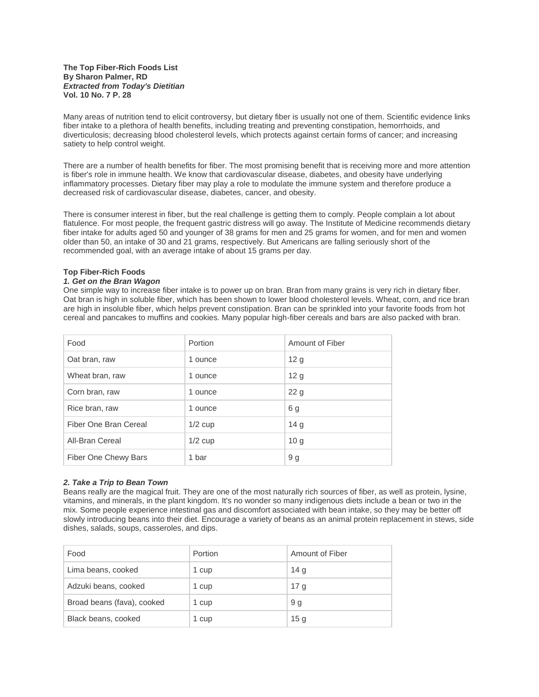#### **The Top Fiber-Rich Foods List By Sharon Palmer, RD** *Extracted from Today's Dietitian* **Vol. 10 No. 7 P. 28**

Many areas of nutrition tend to elicit controversy, but dietary fiber is usually not one of them. Scientific evidence links fiber intake to a plethora of health benefits, including treating and preventing constipation, hemorrhoids, and diverticulosis; decreasing blood cholesterol levels, which protects against certain forms of cancer; and increasing satiety to help control weight.

There are a number of health benefits for fiber. The most promising benefit that is receiving more and more attention is fiber's role in immune health. We know that cardiovascular disease, diabetes, and obesity have underlying inflammatory processes. Dietary fiber may play a role to modulate the immune system and therefore produce a decreased risk of cardiovascular disease, diabetes, cancer, and obesity.

There is consumer interest in fiber, but the real challenge is getting them to comply. People complain a lot about flatulence. For most people, the frequent gastric distress will go away. The Institute of Medicine recommends dietary fiber intake for adults aged 50 and younger of 38 grams for men and 25 grams for women, and for men and women older than 50, an intake of 30 and 21 grams, respectively. But Americans are falling seriously short of the recommended goal, with an average intake of about 15 grams per day.

### **Top Fiber-Rich Foods**

#### *1. Get on the Bran Wagon*

One simple way to increase fiber intake is to power up on bran. Bran from many grains is very rich in dietary fiber. Oat bran is high in soluble fiber, which has been shown to lower blood cholesterol levels. Wheat, corn, and rice bran are high in insoluble fiber, which helps prevent constipation. Bran can be sprinkled into your favorite foods from hot cereal and pancakes to muffins and cookies. Many popular high-fiber cereals and bars are also packed with bran.

| Food                  | Portion   | Amount of Fiber |
|-----------------------|-----------|-----------------|
| Oat bran, raw         | 1 ounce   | 12g             |
| Wheat bran, raw       | 1 ounce   | 12 <sub>g</sub> |
| Corn bran, raw        | 1 ounce   | 22g             |
| Rice bran, raw        | 1 ounce   | 6 g             |
| Fiber One Bran Cereal | $1/2$ cup | 14 <sub>q</sub> |
| All-Bran Cereal       | $1/2$ cup | 10 <sub>g</sub> |
| Fiber One Chewy Bars  | 1 bar     | 9 g             |

#### *2. Take a Trip to Bean Town*

Beans really are the magical fruit. They are one of the most naturally rich sources of fiber, as well as protein, lysine, vitamins, and minerals, in the plant kingdom. It's no wonder so many indigenous diets include a bean or two in the mix. Some people experience intestinal gas and discomfort associated with bean intake, so they may be better off slowly introducing beans into their diet. Encourage a variety of beans as an animal protein replacement in stews, side dishes, salads, soups, casseroles, and dips.

| Food                       | Portion | Amount of Fiber |
|----------------------------|---------|-----------------|
| Lima beans, cooked         | 1 cup   | 14 <sub>g</sub> |
| Adzuki beans, cooked       | 1 cup   | 17 <sub>q</sub> |
| Broad beans (fava), cooked | 1 cup   | . 9 g           |
| Black beans, cooked        | 1 cup   | 15 <sub>g</sub> |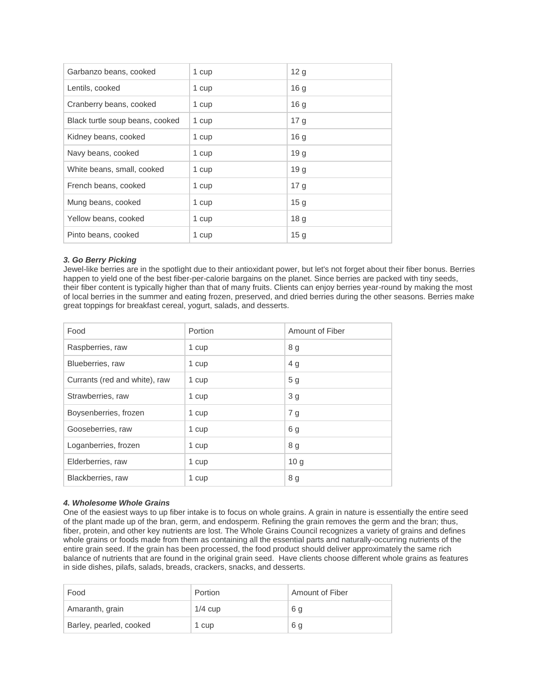| Garbanzo beans, cooked          | 1 cup | 12 <sub>g</sub> |
|---------------------------------|-------|-----------------|
| Lentils, cooked                 | 1 cup | 16 <sub>g</sub> |
| Cranberry beans, cooked         | 1 cup | 16 <sub>g</sub> |
| Black turtle soup beans, cooked | 1 cup | 17 <sub>g</sub> |
| Kidney beans, cooked            | 1 cup | 16 <sub>g</sub> |
| Navy beans, cooked              | 1 cup | 19 g            |
| White beans, small, cooked      | 1 cup | 19 g            |
| French beans, cooked            | 1 cup | 17 <sub>q</sub> |
| Mung beans, cooked              | 1 cup | 15 <sub>g</sub> |
| Yellow beans, cooked            | 1 cup | 18 <sub>g</sub> |
| Pinto beans, cooked             | 1 cup | 15 <sub>g</sub> |

## *3. Go Berry Picking*

Jewel-like berries are in the spotlight due to their antioxidant power, but let's not forget about their fiber bonus. Berries happen to yield one of the best fiber-per-calorie bargains on the planet. Since berries are packed with tiny seeds, their fiber content is typically higher than that of many fruits. Clients can enjoy berries year-round by making the most of local berries in the summer and eating frozen, preserved, and dried berries during the other seasons. Berries make great toppings for breakfast cereal, yogurt, salads, and desserts.

| Food                          | Portion | Amount of Fiber |
|-------------------------------|---------|-----------------|
| Raspberries, raw              | 1 cup   | 8 g             |
| Blueberries, raw              | 1 cup   | 4 <sub>q</sub>  |
| Currants (red and white), raw | 1 cup   | 5 <sub>g</sub>  |
| Strawberries, raw             | 1 cup   | 3 <sub>g</sub>  |
| Boysenberries, frozen         | 1 cup   | 7 g             |
| Gooseberries, raw             | 1 cup   | 6g              |
| Loganberries, frozen          | 1 cup   | 8 <sub>g</sub>  |
| Elderberries, raw             | 1 cup   | 10 <sub>g</sub> |
| Blackberries, raw             | 1 cup   | 8 g             |

### *4. Wholesome Whole Grains*

One of the easiest ways to up fiber intake is to focus on whole grains. A grain in nature is essentially the entire seed of the plant made up of the bran, germ, and endosperm. Refining the grain removes the germ and the bran; thus, fiber, protein, and other key nutrients are lost. The Whole Grains Council recognizes a variety of grains and defines whole grains or foods made from them as containing all the essential parts and naturally-occurring nutrients of the entire grain seed. If the grain has been processed, the food product should deliver approximately the same rich balance of nutrients that are found in the original grain seed. Have clients choose different whole grains as features in side dishes, pilafs, salads, breads, crackers, snacks, and desserts.

| Food                    | Portion   | Amount of Fiber |
|-------------------------|-----------|-----------------|
| Amaranth, grain         | $1/4$ cup | 6 g             |
| Barley, pearled, cooked | 1 cup     | 6 a             |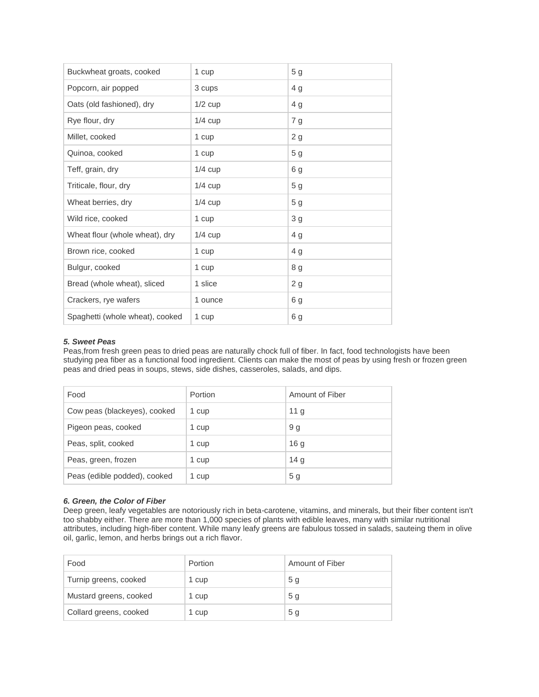| Buckwheat groats, cooked        | 1 cup     | 5 <sub>g</sub> |
|---------------------------------|-----------|----------------|
| Popcorn, air popped             | 3 cups    | 4 g            |
| Oats (old fashioned), dry       | $1/2$ cup | 4 <sub>g</sub> |
| Rye flour, dry                  | $1/4$ cup | 7g             |
| Millet, cooked                  | 1 cup     | 2g             |
| Quinoa, cooked                  | 1 cup     | 5 <sub>g</sub> |
| Teff, grain, dry                | $1/4$ cup | 6g             |
| Triticale, flour, dry           | $1/4$ cup | 5 <sub>g</sub> |
| Wheat berries, dry              | $1/4$ cup | 5 <sub>g</sub> |
| Wild rice, cooked               | 1 cup     | 3 <sub>g</sub> |
| Wheat flour (whole wheat), dry  | $1/4$ cup | 4 <sub>g</sub> |
| Brown rice, cooked              | 1 cup     | 4 g            |
| Bulgur, cooked                  | 1 cup     | 8 g            |
| Bread (whole wheat), sliced     | 1 slice   | 2g             |
| Crackers, rye wafers            | 1 ounce   | 6 g            |
| Spaghetti (whole wheat), cooked | 1 cup     | 6 g            |

# *5. Sweet Peas*

Peas,from fresh green peas to dried peas are naturally chock full of fiber. In fact, food technologists have been studying pea fiber as a functional food ingredient. Clients can make the most of peas by using fresh or frozen green peas and dried peas in soups, stews, side dishes, casseroles, salads, and dips.

| Food                         | Portion | Amount of Fiber |
|------------------------------|---------|-----------------|
| Cow peas (blackeyes), cooked | 1 cup   | 11 <sub>q</sub> |
| Pigeon peas, cooked          | 1 cup   | 9 g             |
| Peas, split, cooked          | 1 cup   | 16 <sub>q</sub> |
| Peas, green, frozen          | 1 cup   | 14 <sub>q</sub> |
| Peas (edible podded), cooked | 1 cup   | 5 <sub>g</sub>  |

### *6. Green, the Color of Fiber*

Deep green, leafy vegetables are notoriously rich in beta-carotene, vitamins, and minerals, but their fiber content isn't too shabby either. There are more than 1,000 species of plants with edible leaves, many with similar nutritional attributes, including high-fiber content. While many leafy greens are fabulous tossed in salads, sauteing them in olive oil, garlic, lemon, and herbs brings out a rich flavor.

| Food                   | Portion | Amount of Fiber |
|------------------------|---------|-----------------|
| Turnip greens, cooked  | 1 cup   | 5 <sub>q</sub>  |
| Mustard greens, cooked | 1 cup   | 5 <sub>q</sub>  |
| Collard greens, cooked | 1 cup   | 5 <sub>g</sub>  |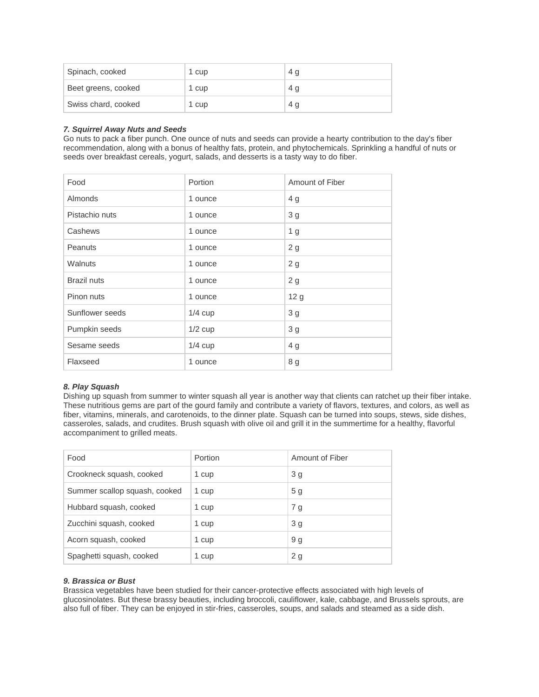| Spinach, cooked     | 1 cup | 4 g |
|---------------------|-------|-----|
| Beet greens, cooked | 1 cup | 4 g |
| Swiss chard, cooked | 1 cup | 4 g |

### *7. Squirrel Away Nuts and Seeds*

Go nuts to pack a fiber punch. One ounce of nuts and seeds can provide a hearty contribution to the day's fiber recommendation, along with a bonus of healthy fats, protein, and phytochemicals. Sprinkling a handful of nuts or seeds over breakfast cereals, yogurt, salads, and desserts is a tasty way to do fiber.

| Food               | Portion   | Amount of Fiber |
|--------------------|-----------|-----------------|
| <b>Almonds</b>     | 1 ounce   | 4 g             |
| Pistachio nuts     | 1 ounce   | 3 <sub>g</sub>  |
| Cashews            | 1 ounce   | 1 <sub>g</sub>  |
| Peanuts            | 1 ounce   | 2g              |
| <b>Walnuts</b>     | 1 ounce   | 2g              |
| <b>Brazil nuts</b> | 1 ounce   | 2g              |
| Pinon nuts         | 1 ounce   | 12 <sub>g</sub> |
| Sunflower seeds    | $1/4$ cup | 3g              |
| Pumpkin seeds      | $1/2$ cup | 3 <sub>g</sub>  |
| Sesame seeds       | $1/4$ cup | 4 g             |
| Flaxseed           | 1 ounce   | 8 g             |

# *8. Play Squash*

Dishing up squash from summer to winter squash all year is another way that clients can ratchet up their fiber intake. These nutritious gems are part of the gourd family and contribute a variety of flavors, textures, and colors, as well as fiber, vitamins, minerals, and carotenoids, to the dinner plate. Squash can be turned into soups, stews, side dishes, casseroles, salads, and crudites. Brush squash with olive oil and grill it in the summertime for a healthy, flavorful accompaniment to grilled meats.

| Food                          | Portion | Amount of Fiber |
|-------------------------------|---------|-----------------|
| Crookneck squash, cooked      | 1 cup   | 3 <sub>q</sub>  |
| Summer scallop squash, cooked | 1 cup   | 5 <sub>q</sub>  |
| Hubbard squash, cooked        | 1 cup   | 7 g             |
| Zucchini squash, cooked       | 1 cup   | 3 <sub>q</sub>  |
| Acorn squash, cooked          | 1 cup   | 9 g             |
| Spaghetti squash, cooked      | 1 cup   | 2 <sub>g</sub>  |
|                               |         |                 |

## *9. Brassica or Bust*

Brassica vegetables have been studied for their cancer-protective effects associated with high levels of glucosinolates. But these brassy beauties, including broccoli, cauliflower, kale, cabbage, and Brussels sprouts, are also full of fiber. They can be enjoyed in stir-fries, casseroles, soups, and salads and steamed as a side dish.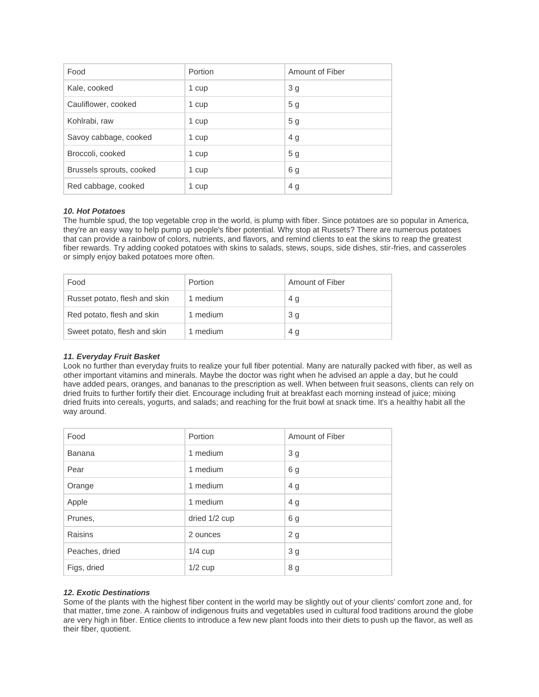| Food                     | Portion | Amount of Fiber |
|--------------------------|---------|-----------------|
| Kale, cooked             | 1 cup   | 3 <sub>g</sub>  |
| Cauliflower, cooked      | 1 cup   | 5 <sub>g</sub>  |
| Kohlrabi, raw            | 1 cup   | 5 <sub>g</sub>  |
| Savoy cabbage, cooked    | 1 cup   | 4 g             |
| Broccoli, cooked         | 1 cup   | 5 <sub>g</sub>  |
| Brussels sprouts, cooked | 1 cup   | 6 <sub>q</sub>  |
| Red cabbage, cooked      | 1 cup   | 4 g             |

## *10. Hot Potatoes*

The humble spud, the top vegetable crop in the world, is plump with fiber. Since potatoes are so popular in America, they're an easy way to help pump up people's fiber potential. Why stop at Russets? There are numerous potatoes that can provide a rainbow of colors, nutrients, and flavors, and remind clients to eat the skins to reap the greatest fiber rewards. Try adding cooked potatoes with skins to salads, stews, soups, side dishes, stir-fries, and casseroles or simply enjoy baked potatoes more often.

| Food                          | Portion  | Amount of Fiber |
|-------------------------------|----------|-----------------|
| Russet potato, flesh and skin | 1 medium | 4 g             |
| Red potato, flesh and skin    | 1 medium | 3 <sub>q</sub>  |
| Sweet potato, flesh and skin  | 1 medium | 4 g             |

### *11. Everyday Fruit Basket*

Look no further than everyday fruits to realize your full fiber potential. Many are naturally packed with fiber, as well as other important vitamins and minerals. Maybe the doctor was right when he advised an apple a day, but he could have added pears, oranges, and bananas to the prescription as well. When between fruit seasons, clients can rely on dried fruits to further fortify their diet. Encourage including fruit at breakfast each morning instead of juice; mixing dried fruits into cereals, yogurts, and salads; and reaching for the fruit bowl at snack time. It's a healthy habit all the way around.

| Food           | Portion       | Amount of Fiber |
|----------------|---------------|-----------------|
| Banana         | 1 medium      | 3 <sub>q</sub>  |
| Pear           | 1 medium      | 6g              |
| Orange         | 1 medium      | 4 g             |
| Apple          | 1 medium      | 4 g             |
| Prunes,        | dried 1/2 cup | 6 g             |
| Raisins        | 2 ounces      | 2g              |
| Peaches, dried | $1/4$ cup     | 3 <sub>g</sub>  |
| Figs, dried    | $1/2$ cup     | 8 g             |

# *12. Exotic Destinations*

Some of the plants with the highest fiber content in the world may be slightly out of your clients' comfort zone and, for that matter, time zone. A rainbow of indigenous fruits and vegetables used in cultural food traditions around the globe are very high in fiber. Entice clients to introduce a few new plant foods into their diets to push up the flavor, as well as their fiber, quotient.